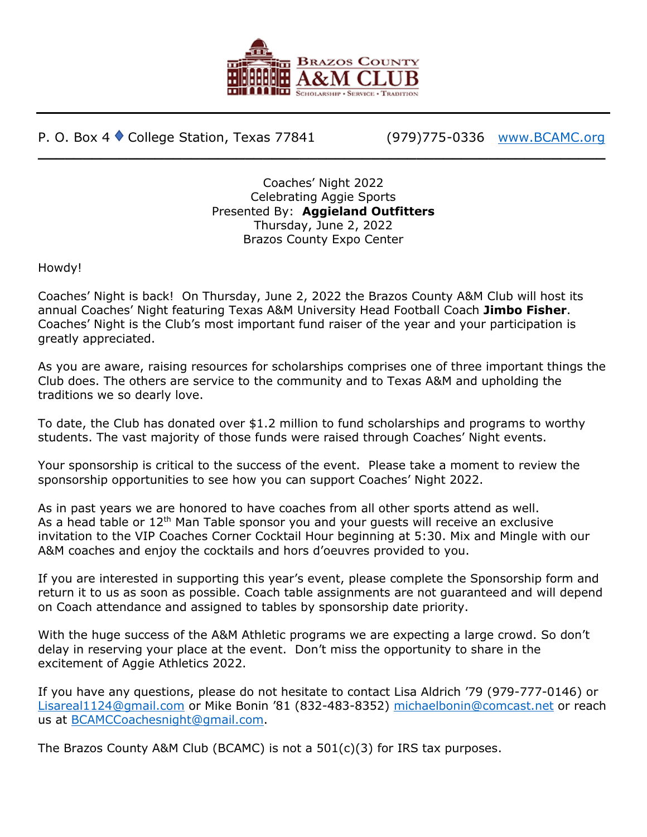

P. O. Box 4 ♦ College Station, Texas 77841 (979)775-0336 [www.BCAMC.org](http://www.bcamc.org/)

Coaches' Night 2022 Celebrating Aggie Sports Presented By: **Aggieland Outfitters** Thursday, June 2, 2022 Brazos County Expo Center

**\_\_\_\_\_\_\_\_\_\_\_\_\_\_\_\_\_\_\_\_\_\_\_\_\_\_\_\_\_\_\_\_\_\_\_\_\_\_\_\_\_\_\_\_\_\_\_\_\_\_\_\_\_\_\_\_\_\_\_\_\_\_\_**

Howdy!

Coaches' Night is back! On Thursday, June 2, 2022 the Brazos County A&M Club will host its annual Coaches' Night featuring Texas A&M University Head Football Coach **Jimbo Fisher**. Coaches' Night is the Club's most important fund raiser of the year and your participation is greatly appreciated.

As you are aware, raising resources for scholarships comprises one of three important things the Club does. The others are service to the community and to Texas A&M and upholding the traditions we so dearly love.

To date, the Club has donated over \$1.2 million to fund scholarships and programs to worthy students. The vast majority of those funds were raised through Coaches' Night events.

Your sponsorship is critical to the success of the event. Please take a moment to review the sponsorship opportunities to see how you can support Coaches' Night 2022.

As in past years we are honored to have coaches from all other sports attend as well. As a head table or  $12<sup>th</sup>$  Man Table sponsor you and your guests will receive an exclusive invitation to the VIP Coaches Corner Cocktail Hour beginning at 5:30. Mix and Mingle with our A&M coaches and enjoy the cocktails and hors d'oeuvres provided to you.

If you are interested in supporting this year's event, please complete the Sponsorship form and return it to us as soon as possible. Coach table assignments are not guaranteed and will depend on Coach attendance and assigned to tables by sponsorship date priority.

With the huge success of the A&M Athletic programs we are expecting a large crowd. So don't delay in reserving your place at the event. Don't miss the opportunity to share in the excitement of Aggie Athletics 2022.

If you have any questions, please do not hesitate to contact Lisa Aldrich '79 (979-777-0146) or [Lisareal1124@gmail.com](mailto:Lisareal1124@gmail.com) or Mike Bonin '81 (832-483-8352) [michaelbonin@comcast.net](mailto:michaelbonin@comcast.net) or reach us at [BCAMCCoachesnight@gmail.com.](mailto:BCAMCCoachesnight@gmail.com)

The Brazos County A&M Club (BCAMC) is not a  $501(c)(3)$  for IRS tax purposes.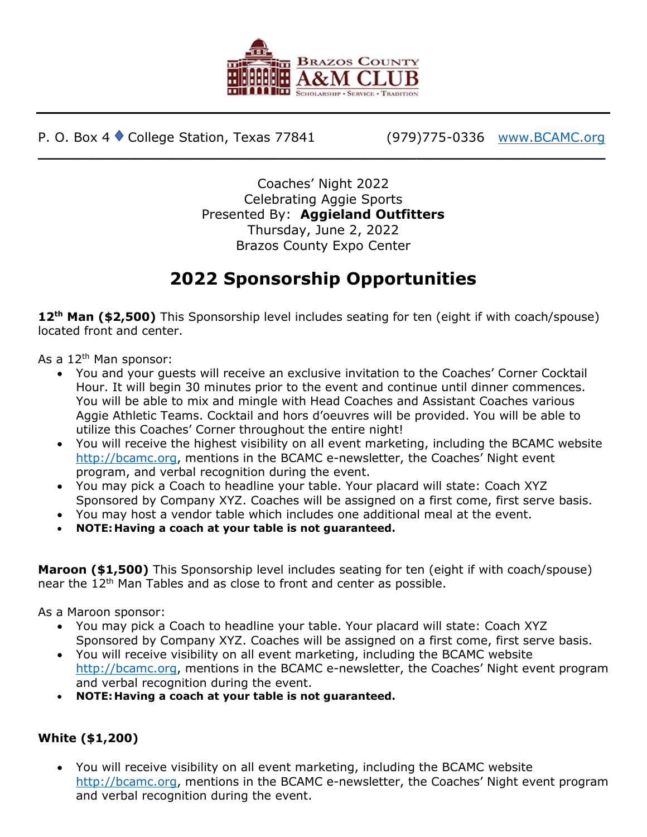

P. O. Box 4 ♦ College Station, Texas 77841 (979)775-0336 [www.BCAMC.org](http://www.bcamc.org/)

Coaches' Night 2022 Celebrating Aggie Sports Presented By: **Aggieland Outfitters** Thursday, June 2, 2022 Brazos County Expo Center

**\_\_\_\_\_\_\_\_\_\_\_\_\_\_\_\_\_\_\_\_\_\_\_\_\_\_\_\_\_\_\_\_\_\_\_\_\_\_\_\_\_\_\_\_\_\_\_\_\_\_\_\_\_\_\_\_\_\_\_\_\_\_\_**

## **2022 Sponsorship Opportunities**

**12th Man (\$2,500)** This Sponsorship level includes seating for ten (eight if with coach/spouse) located front and center.

As a  $12<sup>th</sup>$  Man sponsor:

- You and your guests will receive an exclusive invitation to the Coaches' Corner Cocktail Hour. It will begin 30 minutes prior to the event and continue until dinner commences. You will be able to mix and mingle with Head Coaches and Assistant Coaches various Aggie Athletic Teams. Cocktail and hors d'oeuvres will be provided. You will be able to utilize this Coaches' Corner throughout the entire night!
- You will receive the highest visibility on all event marketing, including the BCAMC website [http://bcamc.org,](http://bcamc.org/) mentions in the BCAMC e-newsletter, the Coaches' Night event program, and verbal recognition during the event.
- You may pick a Coach to headline your table. Your placard will state: Coach XYZ Sponsored by Company XYZ. Coaches will be assigned on a first come, first serve basis.
- You may host a vendor table which includes one additional meal at the event.
- **NOTE: Having a coach at your table is not guaranteed.**

**Maroon (\$1,500)** This Sponsorship level includes seating for ten (eight if with coach/spouse) near the 12<sup>th</sup> Man Tables and as close to front and center as possible.

As a Maroon sponsor:

- You may pick a Coach to headline your table. Your placard will state: Coach XYZ Sponsored by Company XYZ. Coaches will be assigned on a first come, first serve basis.
- You will receive visibility on all event marketing, including the BCAMC website [http://bcamc.org,](http://bcamc.org/) mentions in the BCAMC e-newsletter, the Coaches' Night event program and verbal recognition during the event.
- **NOTE: Having a coach at your table is not guaranteed.**

## **White (\$1,200)**

• You will receive visibility on all event marketing, including the BCAMC website [http://bcamc.org,](http://bcamc.org/) mentions in the BCAMC e-newsletter, the Coaches' Night event program and verbal recognition during the event.